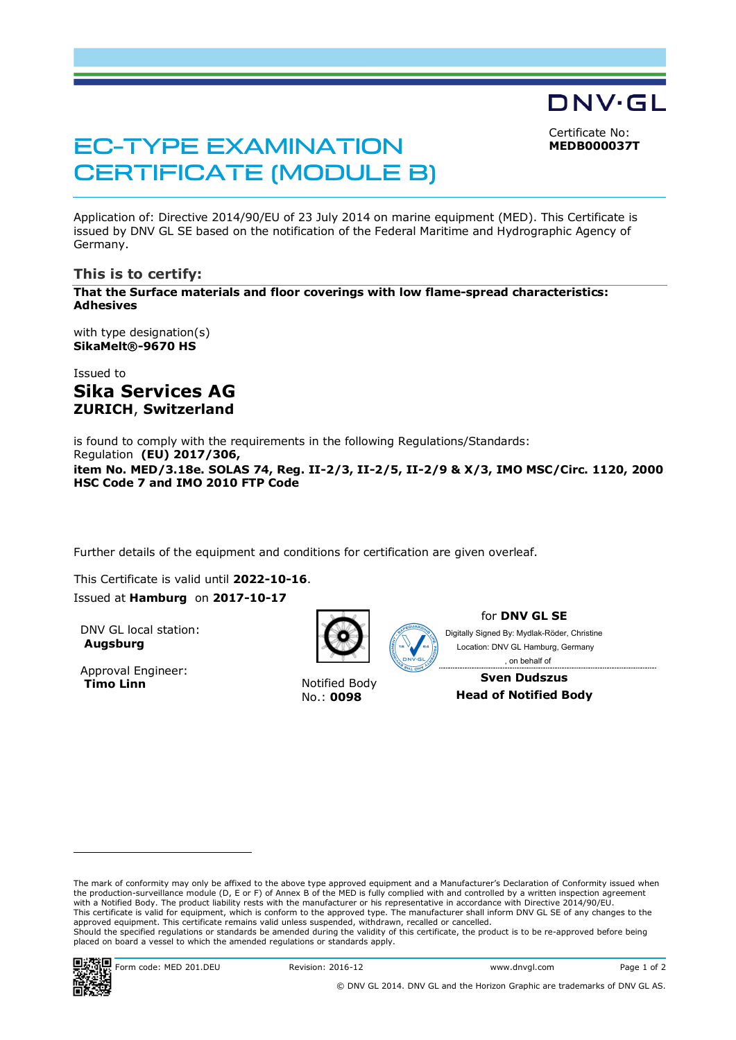Certificate No: **MEDB000037T**

DNV·GL

# EC-TYPE EXAMINATION CERTIFICATE (MODULE B)

Application of: Directive 2014/90/EU of 23 July 2014 on marine equipment (MED). This Certificate is issued by DNV GL SE based on the notification of the Federal Maritime and Hydrographic Agency of Germany.

### **This is to certify:**

**That the Surface materials and floor coverings with low flame-spread characteristics: Adhesives**

with type designation(s) **SikaMelt®-9670 HS**

Issued to **Sika Services AG ZURICH**, **Switzerland**

is found to comply with the requirements in the following Regulations/Standards: Regulation **(EU) 2017/306, item No. MED/3.18e. SOLAS 74, Reg. II-2/3, II-2/5, II-2/9 & X/3, IMO MSC/Circ. 1120, 2000 HSC Code 7 and IMO 2010 FTP Code**

Further details of the equipment and conditions for certification are given overleaf.

This Certificate is valid until **2022-10-16**. Issued at **Hamburg** on **2017-10-17**

DNV GL local station: **Augsburg**

Approval Engineer:<br>Timo Linn



**Notified Body** No.: **0098**

for **DNV GL SE**

Digitally Signed By: Mydlak-Röder, Christine Location: DNV GL Hamburg, Germany , on behalf of

**Sven Dudszus Head of Notified Body**

The mark of conformity may only be affixed to the above type approved equipment and a Manufacturer's Declaration of Conformity issued when the production-surveillance module (D, E or F) of Annex B of the MED is fully complied with and controlled by a written inspection agreement with a Notified Body. The product liability rests with the manufacturer or his representative in accordance with Directive 2014/90/EU. This certificate is valid for equipment, which is conform to the approved type. The manufacturer shall inform DNV GL SE of any changes to the approved equipment. This certificate remains valid unless suspended, withdrawn, recalled or cancelled. Should the specified regulations or standards be amended during the validity of this certificate, the product is to be re-approved before being placed on board a vessel to which the amended regulations or standards apply.